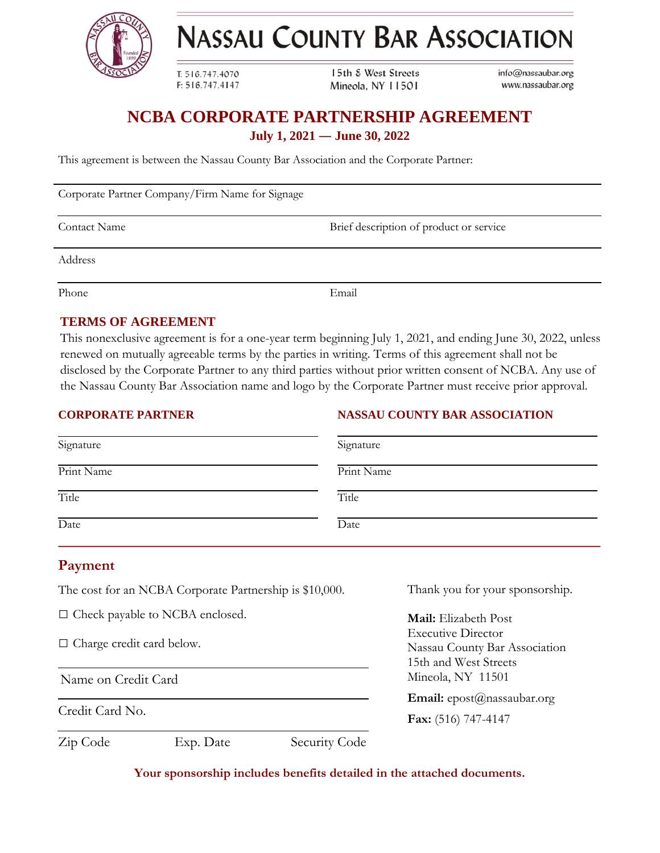

**NASSAU COUNTY BAR ASSOCIATION** 

T: 516.747.4070 F: 516.747.4147 15th & West Streets Mineola, NY 11501

info@nassaubar.org www.nassaubar.org

# **NCBA CORPORATE PARTNERSHIP AGREEMENT July 1, 2021 ― June 30, 2022**

This agreement is between the Nassau County Bar Association and the Corporate Partner:

Corporate Partner Company/Firm Name for Signage

Contact Name Brief description of product or service

Address

Phone Email

## **TERMS OF AGREEMENT**

This nonexclusive agreement is for a one-year term beginning July 1, 2021, and ending June 30, 2022, unless renewed on mutually agreeable terms by the parties in writing. Terms of this agreement shall not be disclosed by the Corporate Partner to any third parties without prior written consent of NCBA. Any use of the Nassau County Bar Association name and logo by the Corporate Partner must receive prior approval.

#### **CORPORATE PARTNER**

#### **NASSAU COUNTY BAR ASSOCIATION**

| Signature  | Signature  |
|------------|------------|
| Print Name | Print Name |
| Title      | Title      |
| Date       | Date       |

## **Payment**

The cost for an NCBA Corporate Partnership is \$10,000.

□ Check payable to NCBA enclosed.

□ Charge credit card below.

Name on Credit Card

Credit Card No.

Thank you for your sponsorship.

**Mail:** Elizabeth Post Executive Director Nassau County Bar Association 15th and West Streets Mineola, NY 11501

**Email:** epost@nassaubar.org

**Fax:** (516) 747-4147

Zip Code Exp. Date Security Code

**Your sponsorship includes benefits detailed in the attached documents.**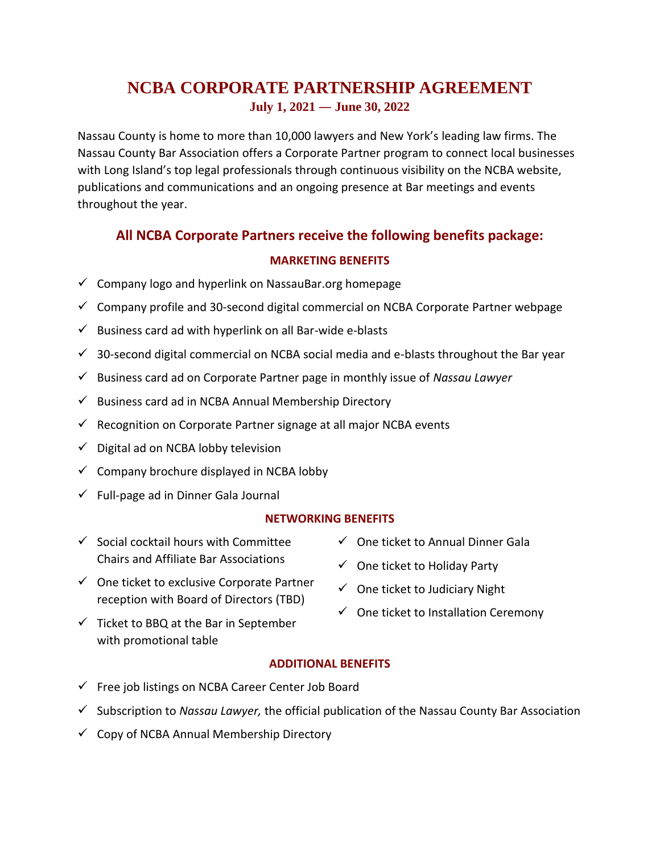# **NCBA CORPORATE PARTNERSHIP AGREEMENT July 1, 2021 ― June 30, 2022**

Nassau County is home to more than 10,000 lawyers and New York's leading law firms. The Nassau County Bar Association offers a Corporate Partner program to connect local businesses with Long Island's top legal professionals through continuous visibility on the NCBA website, publications and communications and an ongoing presence at Bar meetings and events throughout the year.

# **All NCBA Corporate Partners receive the following benefits package:**

## **MARKETING BENEFITS**

- $\checkmark$  Company logo and hyperlink on NassauBar.org homepage
- $\checkmark$  Company profile and 30-second digital commercial on NCBA Corporate Partner webpage
- $\checkmark$  Business card ad with hyperlink on all Bar-wide e-blasts
- $\checkmark$  30-second digital commercial on NCBA social media and e-blasts throughout the Bar year
- ✓ Business card ad on Corporate Partner page in monthly issue of *Nassau Lawyer*
- $\checkmark$  Business card ad in NCBA Annual Membership Directory
- $\checkmark$  Recognition on Corporate Partner signage at all major NCBA events
- ✓ Digital ad on NCBA lobby television
- $\checkmark$  Company brochure displayed in NCBA lobby
- $\checkmark$  Full-page ad in Dinner Gala Journal

#### **NETWORKING BENEFITS**

- $\checkmark$  Social cocktail hours with Committee Chairs and Affiliate Bar Associations
- ✓ One ticket to exclusive Corporate Partner reception with Board of Directors (TBD)
- $\checkmark$  Ticket to BBQ at the Bar in September with promotional table
- $\checkmark$  One ticket to Annual Dinner Gala
- $\checkmark$  One ticket to Holiday Party
- $\checkmark$  One ticket to Judiciary Night
- $\checkmark$  One ticket to Installation Ceremony

## **ADDITIONAL BENEFITS**

- ✓ Free job listings on NCBA Career Center Job Board
- ✓ Subscription to *Nassau Lawyer,* the official publication of the Nassau County Bar Association
- $\checkmark$  Copy of NCBA Annual Membership Directory